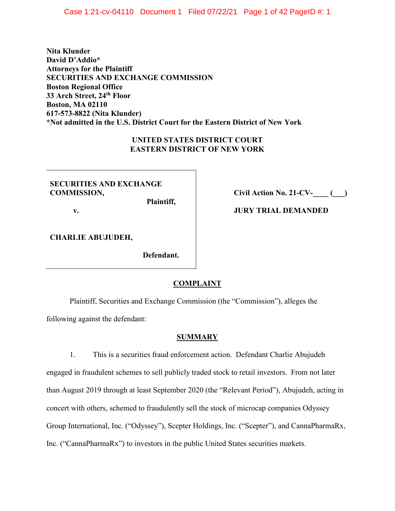Case 1:21-cv-04110 Document 1 Filed 07/22/21 Page 1 of 42 PageID #: 1

**Nita Klunder David D'Addio\* Attorneys for the Plaintiff SECURITIES AND EXCHANGE COMMISSION Boston Regional Office 33 Arch Street, 24th Floor Boston, MA 02110 617-573-8822 (Nita Klunder) \*Not admitted in the U.S. District Court for the Eastern District of New York**

## **UNITED STATES DISTRICT COURT EASTERN DISTRICT OF NEW YORK**

# **SECURITIES AND EXCHANGE COMMISSION,**

**v.**

**Civil Action No. 21-CV-\_\_\_\_ (\_\_\_)**

**JURY TRIAL DEMANDED**

**CHARLIE ABUJUDEH,**

**Defendant.**

 **Plaintiff,**

# **COMPLAINT**

Plaintiff, Securities and Exchange Commission (the "Commission"), alleges the following against the defendant:

## **SUMMARY**

1. This is a securities fraud enforcement action. Defendant Charlie Abujudeh engaged in fraudulent schemes to sell publicly traded stock to retail investors. From not later than August 2019 through at least September 2020 (the "Relevant Period"), Abujudeh, acting in concert with others, schemed to fraudulently sell the stock of microcap companies Odyssey Group International, Inc. ("Odyssey"), Scepter Holdings, Inc. ("Scepter"), and CannaPharmaRx, Inc. ("CannaPharmaRx") to investors in the public United States securities markets.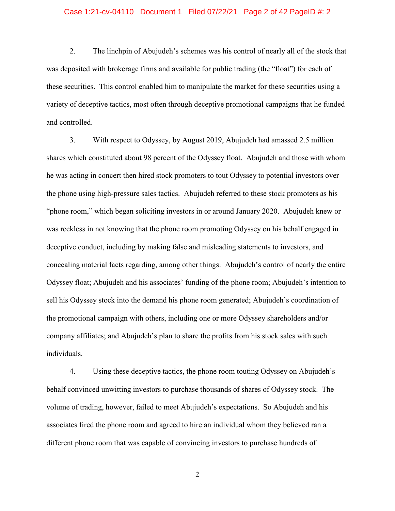### Case 1:21-cv-04110 Document 1 Filed 07/22/21 Page 2 of 42 PageID #: 2

2. The linchpin of Abujudeh's schemes was his control of nearly all of the stock that was deposited with brokerage firms and available for public trading (the "float") for each of these securities. This control enabled him to manipulate the market for these securities using a variety of deceptive tactics, most often through deceptive promotional campaigns that he funded and controlled.

3. With respect to Odyssey, by August 2019, Abujudeh had amassed 2.5 million shares which constituted about 98 percent of the Odyssey float. Abujudeh and those with whom he was acting in concert then hired stock promoters to tout Odyssey to potential investors over the phone using high-pressure sales tactics. Abujudeh referred to these stock promoters as his "phone room," which began soliciting investors in or around January 2020. Abujudeh knew or was reckless in not knowing that the phone room promoting Odyssey on his behalf engaged in deceptive conduct, including by making false and misleading statements to investors, and concealing material facts regarding, among other things: Abujudeh's control of nearly the entire Odyssey float; Abujudeh and his associates' funding of the phone room; Abujudeh's intention to sell his Odyssey stock into the demand his phone room generated; Abujudeh's coordination of the promotional campaign with others, including one or more Odyssey shareholders and/or company affiliates; and Abujudeh's plan to share the profits from his stock sales with such individuals.

4. Using these deceptive tactics, the phone room touting Odyssey on Abujudeh's behalf convinced unwitting investors to purchase thousands of shares of Odyssey stock. The volume of trading, however, failed to meet Abujudeh's expectations. So Abujudeh and his associates fired the phone room and agreed to hire an individual whom they believed ran a different phone room that was capable of convincing investors to purchase hundreds of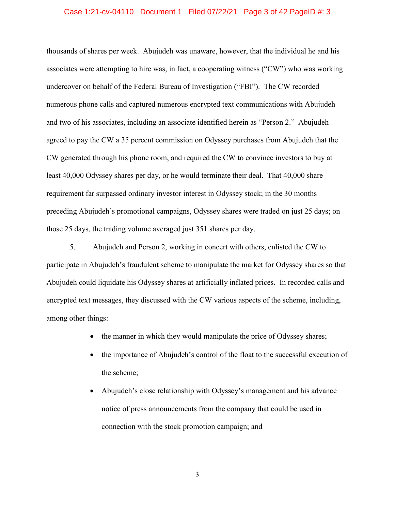#### Case 1:21-cv-04110 Document 1 Filed 07/22/21 Page 3 of 42 PageID #: 3

thousands of shares per week. Abujudeh was unaware, however, that the individual he and his associates were attempting to hire was, in fact, a cooperating witness ("CW") who was working undercover on behalf of the Federal Bureau of Investigation ("FBI"). The CW recorded numerous phone calls and captured numerous encrypted text communications with Abujudeh and two of his associates, including an associate identified herein as "Person 2." Abujudeh agreed to pay the CW a 35 percent commission on Odyssey purchases from Abujudeh that the CW generated through his phone room, and required the CW to convince investors to buy at least 40,000 Odyssey shares per day, or he would terminate their deal. That 40,000 share requirement far surpassed ordinary investor interest in Odyssey stock; in the 30 months preceding Abujudeh's promotional campaigns, Odyssey shares were traded on just 25 days; on those 25 days, the trading volume averaged just 351 shares per day.

5. Abujudeh and Person 2, working in concert with others, enlisted the CW to participate in Abujudeh's fraudulent scheme to manipulate the market for Odyssey shares so that Abujudeh could liquidate his Odyssey shares at artificially inflated prices. In recorded calls and encrypted text messages, they discussed with the CW various aspects of the scheme, including, among other things:

- the manner in which they would manipulate the price of Odyssey shares;
- the importance of Abujudeh's control of the float to the successful execution of the scheme;
- Abujudeh's close relationship with Odyssey's management and his advance notice of press announcements from the company that could be used in connection with the stock promotion campaign; and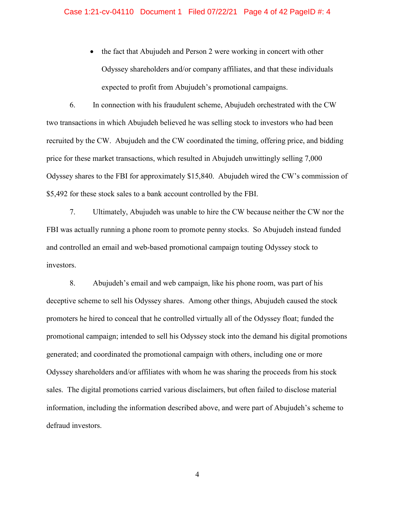• the fact that Abujudeh and Person 2 were working in concert with other Odyssey shareholders and/or company affiliates, and that these individuals expected to profit from Abujudeh's promotional campaigns.

6. In connection with his fraudulent scheme, Abujudeh orchestrated with the CW two transactions in which Abujudeh believed he was selling stock to investors who had been recruited by the CW. Abujudeh and the CW coordinated the timing, offering price, and bidding price for these market transactions, which resulted in Abujudeh unwittingly selling 7,000 Odyssey shares to the FBI for approximately \$15,840. Abujudeh wired the CW's commission of \$5,492 for these stock sales to a bank account controlled by the FBI.

7. Ultimately, Abujudeh was unable to hire the CW because neither the CW nor the FBI was actually running a phone room to promote penny stocks. So Abujudeh instead funded and controlled an email and web-based promotional campaign touting Odyssey stock to investors.

8. Abujudeh's email and web campaign, like his phone room, was part of his deceptive scheme to sell his Odyssey shares. Among other things, Abujudeh caused the stock promoters he hired to conceal that he controlled virtually all of the Odyssey float; funded the promotional campaign; intended to sell his Odyssey stock into the demand his digital promotions generated; and coordinated the promotional campaign with others, including one or more Odyssey shareholders and/or affiliates with whom he was sharing the proceeds from his stock sales. The digital promotions carried various disclaimers, but often failed to disclose material information, including the information described above, and were part of Abujudeh's scheme to defraud investors.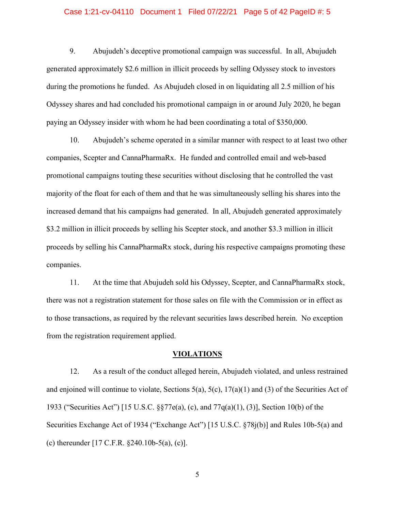### Case 1:21-cv-04110 Document 1 Filed 07/22/21 Page 5 of 42 PageID #: 5

9. Abujudeh's deceptive promotional campaign was successful. In all, Abujudeh generated approximately \$2.6 million in illicit proceeds by selling Odyssey stock to investors during the promotions he funded. As Abujudeh closed in on liquidating all 2.5 million of his Odyssey shares and had concluded his promotional campaign in or around July 2020, he began paying an Odyssey insider with whom he had been coordinating a total of \$350,000.

10. Abujudeh's scheme operated in a similar manner with respect to at least two other companies, Scepter and CannaPharmaRx. He funded and controlled email and web-based promotional campaigns touting these securities without disclosing that he controlled the vast majority of the float for each of them and that he was simultaneously selling his shares into the increased demand that his campaigns had generated. In all, Abujudeh generated approximately \$3.2 million in illicit proceeds by selling his Scepter stock, and another \$3.3 million in illicit proceeds by selling his CannaPharmaRx stock, during his respective campaigns promoting these companies.

11. At the time that Abujudeh sold his Odyssey, Scepter, and CannaPharmaRx stock, there was not a registration statement for those sales on file with the Commission or in effect as to those transactions, as required by the relevant securities laws described herein. No exception from the registration requirement applied.

### **VIOLATIONS**

12. As a result of the conduct alleged herein, Abujudeh violated, and unless restrained and enjoined will continue to violate, Sections  $5(a)$ ,  $5(c)$ ,  $17(a)(1)$  and (3) of the Securities Act of 1933 ("Securities Act") [15 U.S.C. §§77e(a), (c), and 77q(a)(1), (3)], Section 10(b) of the Securities Exchange Act of 1934 ("Exchange Act") [15 U.S.C. §78j(b)] and Rules 10b-5(a) and (c) thereunder [17 C.F.R. §240.10b-5(a), (c)].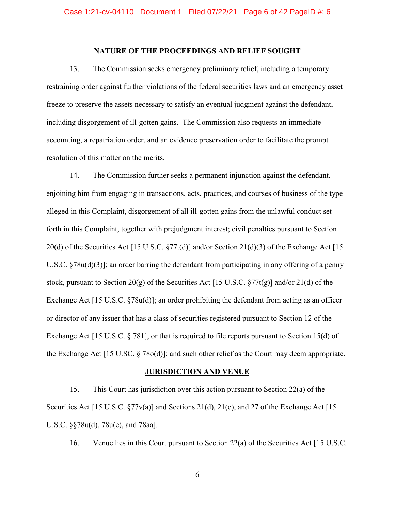### **NATURE OF THE PROCEEDINGS AND RELIEF SOUGHT**

13. The Commission seeks emergency preliminary relief, including a temporary restraining order against further violations of the federal securities laws and an emergency asset freeze to preserve the assets necessary to satisfy an eventual judgment against the defendant, including disgorgement of ill-gotten gains. The Commission also requests an immediate accounting, a repatriation order, and an evidence preservation order to facilitate the prompt resolution of this matter on the merits.

14. The Commission further seeks a permanent injunction against the defendant, enjoining him from engaging in transactions, acts, practices, and courses of business of the type alleged in this Complaint, disgorgement of all ill-gotten gains from the unlawful conduct set forth in this Complaint, together with prejudgment interest; civil penalties pursuant to Section 20(d) of the Securities Act [15 U.S.C. §77t(d)] and/or Section 21(d)(3) of the Exchange Act [15 U.S.C. §78u(d)(3)]; an order barring the defendant from participating in any offering of a penny stock, pursuant to Section 20(g) of the Securities Act [15 U.S.C.  $\S77t(g)$ ] and/or 21(d) of the Exchange Act [15 U.S.C. §78u(d)]; an order prohibiting the defendant from acting as an officer or director of any issuer that has a class of securities registered pursuant to Section 12 of the Exchange Act [15 U.S.C. § 781], or that is required to file reports pursuant to Section 15(d) of the Exchange Act [15 U.SC. § 78o(d)]; and such other relief as the Court may deem appropriate.

#### **JURISDICTION AND VENUE**

15. This Court has jurisdiction over this action pursuant to Section 22(a) of the Securities Act [15 U.S.C.  $\S77v(a)$ ] and Sections 21(d), 21(e), and 27 of the Exchange Act [15 U.S.C. §§78u(d), 78u(e), and 78aa].

16. Venue lies in this Court pursuant to Section 22(a) of the Securities Act [15 U.S.C.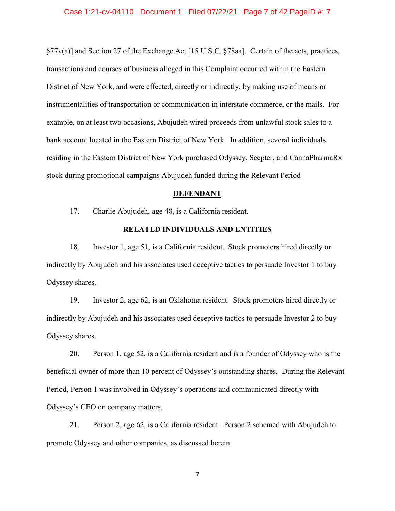§77v(a)] and Section 27 of the Exchange Act [15 U.S.C. §78aa]. Certain of the acts, practices, transactions and courses of business alleged in this Complaint occurred within the Eastern District of New York, and were effected, directly or indirectly, by making use of means or instrumentalities of transportation or communication in interstate commerce, or the mails. For example, on at least two occasions, Abujudeh wired proceeds from unlawful stock sales to a bank account located in the Eastern District of New York. In addition, several individuals residing in the Eastern District of New York purchased Odyssey, Scepter, and CannaPharmaRx stock during promotional campaigns Abujudeh funded during the Relevant Period

#### **DEFENDANT**

17. Charlie Abujudeh, age 48, is a California resident.

## **RELATED INDIVIDUALS AND ENTITIES**

18. Investor 1, age 51, is a California resident. Stock promoters hired directly or indirectly by Abujudeh and his associates used deceptive tactics to persuade Investor 1 to buy Odyssey shares.

19. Investor 2, age 62, is an Oklahoma resident. Stock promoters hired directly or indirectly by Abujudeh and his associates used deceptive tactics to persuade Investor 2 to buy Odyssey shares.

20. Person 1, age 52, is a California resident and is a founder of Odyssey who is the beneficial owner of more than 10 percent of Odyssey's outstanding shares. During the Relevant Period, Person 1 was involved in Odyssey's operations and communicated directly with Odyssey's CEO on company matters.

21. Person 2, age 62, is a California resident. Person 2 schemed with Abujudeh to promote Odyssey and other companies, as discussed herein.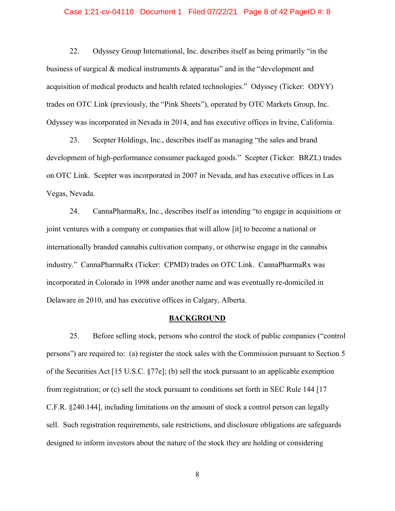### Case 1:21-cv-04110 Document 1 Filed 07/22/21 Page 8 of 42 PageID #: 8

22. Odyssey Group International, Inc. describes itself as being primarily "in the business of surgical & medical instruments & apparatus" and in the "development and acquisition of medical products and health related technologies." Odyssey (Ticker: ODYY) trades on OTC Link (previously, the "Pink Sheets"), operated by OTC Markets Group, Inc. Odyssey was incorporated in Nevada in 2014, and has executive offices in Irvine, California.

23. Scepter Holdings, Inc., describes itself as managing "the sales and brand development of high-performance consumer packaged goods." Scepter (Ticker: BRZL) trades on OTC Link. Scepter was incorporated in 2007 in Nevada, and has executive offices in Las Vegas, Nevada.

24. CannaPharmaRx, Inc., describes itself as intending "to engage in acquisitions or joint ventures with a company or companies that will allow [it] to become a national or internationally branded cannabis cultivation company, or otherwise engage in the cannabis industry." CannaPharmaRx (Ticker: CPMD) trades on OTC Link. CannaPharmaRx was incorporated in Colorado in 1998 under another name and was eventually re-domiciled in Delaware in 2010, and has executive offices in Calgary, Alberta.

#### **BACKGROUND**

25. Before selling stock, persons who control the stock of public companies ("control persons") are required to: (a) register the stock sales with the Commission pursuant to Section 5 of the Securities Act [15 U.S.C. §77e]; (b) sell the stock pursuant to an applicable exemption from registration; or (c) sell the stock pursuant to conditions set forth in SEC Rule 144 [17 C.F.R. §240.144], including limitations on the amount of stock a control person can legally sell. Such registration requirements, sale restrictions, and disclosure obligations are safeguards designed to inform investors about the nature of the stock they are holding or considering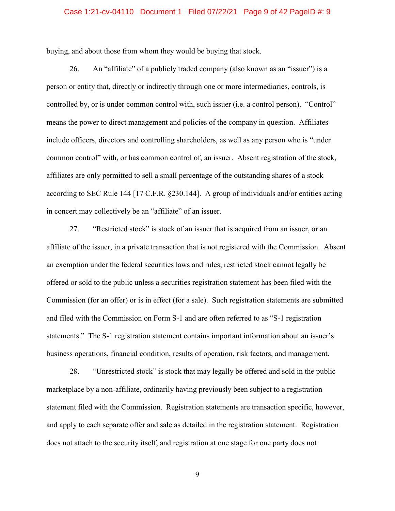### Case 1:21-cv-04110 Document 1 Filed 07/22/21 Page 9 of 42 PageID #: 9

buying, and about those from whom they would be buying that stock.

26. An "affiliate" of a publicly traded company (also known as an "issuer") is a person or entity that, directly or indirectly through one or more intermediaries, controls, is controlled by, or is under common control with, such issuer (i.e. a control person). "Control" means the power to direct management and policies of the company in question. Affiliates include officers, directors and controlling shareholders, as well as any person who is "under common control" with, or has common control of, an issuer. Absent registration of the stock, affiliates are only permitted to sell a small percentage of the outstanding shares of a stock according to SEC Rule 144 [17 C.F.R. §230.144]. A group of individuals and/or entities acting in concert may collectively be an "affiliate" of an issuer.

27. "Restricted stock" is stock of an issuer that is acquired from an issuer, or an affiliate of the issuer, in a private transaction that is not registered with the Commission. Absent an exemption under the federal securities laws and rules, restricted stock cannot legally be offered or sold to the public unless a securities registration statement has been filed with the Commission (for an offer) or is in effect (for a sale). Such registration statements are submitted and filed with the Commission on Form S-1 and are often referred to as "S-1 registration statements." The S-1 registration statement contains important information about an issuer's business operations, financial condition, results of operation, risk factors, and management.

28. "Unrestricted stock" is stock that may legally be offered and sold in the public marketplace by a non-affiliate, ordinarily having previously been subject to a registration statement filed with the Commission. Registration statements are transaction specific, however, and apply to each separate offer and sale as detailed in the registration statement. Registration does not attach to the security itself, and registration at one stage for one party does not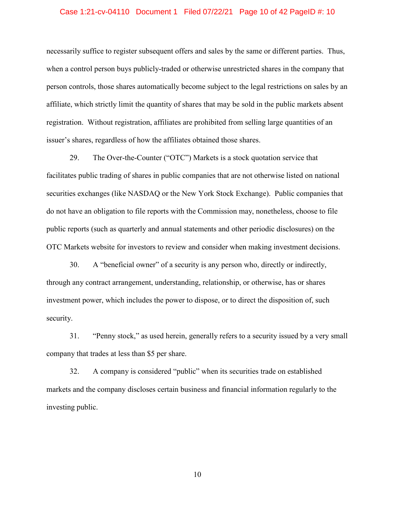#### Case 1:21-cv-04110 Document 1 Filed 07/22/21 Page 10 of 42 PageID #: 10

necessarily suffice to register subsequent offers and sales by the same or different parties. Thus, when a control person buys publicly-traded or otherwise unrestricted shares in the company that person controls, those shares automatically become subject to the legal restrictions on sales by an affiliate, which strictly limit the quantity of shares that may be sold in the public markets absent registration. Without registration, affiliates are prohibited from selling large quantities of an issuer's shares, regardless of how the affiliates obtained those shares.

29. The Over-the-Counter ("OTC") Markets is a stock quotation service that facilitates public trading of shares in public companies that are not otherwise listed on national securities exchanges (like NASDAQ or the New York Stock Exchange). Public companies that do not have an obligation to file reports with the Commission may, nonetheless, choose to file public reports (such as quarterly and annual statements and other periodic disclosures) on the OTC Markets website for investors to review and consider when making investment decisions.

30. A "beneficial owner" of a security is any person who, directly or indirectly, through any contract arrangement, understanding, relationship, or otherwise, has or shares investment power, which includes the power to dispose, or to direct the disposition of, such security.

31. "Penny stock," as used herein, generally refers to a security issued by a very small company that trades at less than \$5 per share.

32. A company is considered "public" when its securities trade on established markets and the company discloses certain business and financial information regularly to the investing public.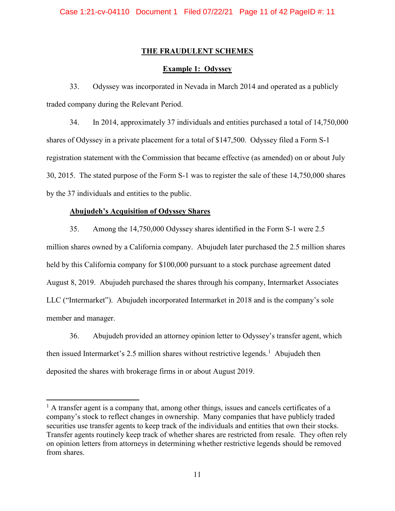# **THE FRAUDULENT SCHEMES**

# **Example 1: Odyssey**

33. Odyssey was incorporated in Nevada in March 2014 and operated as a publicly traded company during the Relevant Period.

34. In 2014, approximately 37 individuals and entities purchased a total of 14,750,000 shares of Odyssey in a private placement for a total of \$147,500. Odyssey filed a Form S-1 registration statement with the Commission that became effective (as amended) on or about July 30, 2015. The stated purpose of the Form S-1 was to register the sale of these 14,750,000 shares by the 37 individuals and entities to the public.

# **Abujudeh's Acquisition of Odyssey Shares**

l

35. Among the 14,750,000 Odyssey shares identified in the Form S-1 were 2.5 million shares owned by a California company. Abujudeh later purchased the 2.5 million shares held by this California company for \$100,000 pursuant to a stock purchase agreement dated August 8, 2019. Abujudeh purchased the shares through his company, Intermarket Associates LLC ("Intermarket"). Abujudeh incorporated Intermarket in 2018 and is the company's sole member and manager.

36. Abujudeh provided an attorney opinion letter to Odyssey's transfer agent, which then issued Intermarket's 2.5 million shares without restrictive legends.<sup>[1](#page-10-0)</sup> Abujudeh then deposited the shares with brokerage firms in or about August 2019.

<span id="page-10-0"></span><sup>&</sup>lt;sup>1</sup> A transfer agent is a company that, among other things, issues and cancels certificates of a company's stock to reflect changes in ownership. Many companies that have publicly traded securities use transfer agents to keep track of the individuals and entities that own their stocks. Transfer agents routinely keep track of whether shares are restricted from resale. They often rely on opinion letters from attorneys in determining whether restrictive legends should be removed from shares.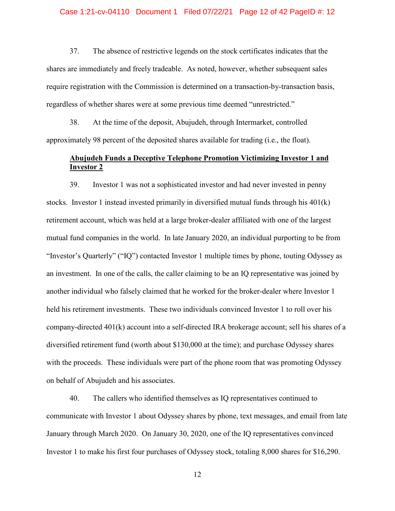#### Case 1:21-cv-04110 Document 1 Filed 07/22/21 Page 12 of 42 PageID #: 12

37. The absence of restrictive legends on the stock certificates indicates that the shares are immediately and freely tradeable. As noted, however, whether subsequent sales require registration with the Commission is determined on a transaction-by-transaction basis, regardless of whether shares were at some previous time deemed "unrestricted."

38. At the time of the deposit, Abujudeh, through Intermarket, controlled approximately 98 percent of the deposited shares available for trading (i.e., the float).

# **Abujudeh Funds a Deceptive Telephone Promotion Victimizing Investor 1 and Investor 2**

39. Investor 1 was not a sophisticated investor and had never invested in penny stocks. Investor 1 instead invested primarily in diversified mutual funds through his 401(k) retirement account, which was held at a large broker-dealer affiliated with one of the largest mutual fund companies in the world. In late January 2020, an individual purporting to be from "Investor's Quarterly" ("IQ") contacted Investor 1 multiple times by phone, touting Odyssey as an investment. In one of the calls, the caller claiming to be an IQ representative was joined by another individual who falsely claimed that he worked for the broker-dealer where Investor 1 held his retirement investments. These two individuals convinced Investor 1 to roll over his company-directed 401(k) account into a self-directed IRA brokerage account; sell his shares of a diversified retirement fund (worth about \$130,000 at the time); and purchase Odyssey shares with the proceeds. These individuals were part of the phone room that was promoting Odyssey on behalf of Abujudeh and his associates.

40. The callers who identified themselves as IQ representatives continued to communicate with Investor 1 about Odyssey shares by phone, text messages, and email from late January through March 2020. On January 30, 2020, one of the IQ representatives convinced Investor 1 to make his first four purchases of Odyssey stock, totaling 8,000 shares for \$16,290.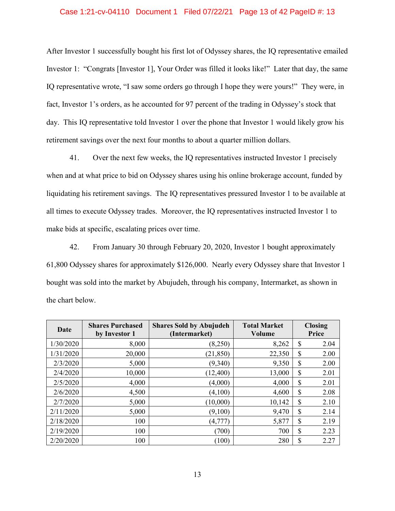### Case 1:21-cv-04110 Document 1 Filed 07/22/21 Page 13 of 42 PageID #: 13

After Investor 1 successfully bought his first lot of Odyssey shares, the IQ representative emailed Investor 1: "Congrats [Investor 1], Your Order was filled it looks like!" Later that day, the same IQ representative wrote, "I saw some orders go through I hope they were yours!" They were, in fact, Investor 1's orders, as he accounted for 97 percent of the trading in Odyssey's stock that day. This IQ representative told Investor 1 over the phone that Investor 1 would likely grow his retirement savings over the next four months to about a quarter million dollars.

41. Over the next few weeks, the IQ representatives instructed Investor 1 precisely when and at what price to bid on Odyssey shares using his online brokerage account, funded by liquidating his retirement savings. The IQ representatives pressured Investor 1 to be available at all times to execute Odyssey trades. Moreover, the IQ representatives instructed Investor 1 to make bids at specific, escalating prices over time.

42. From January 30 through February 20, 2020, Investor 1 bought approximately 61,800 Odyssey shares for approximately \$126,000. Nearly every Odyssey share that Investor 1 bought was sold into the market by Abujudeh, through his company, Intermarket, as shown in the chart below.

| Date      | <b>Shares Purchased</b><br>by Investor 1 | <b>Shares Sold by Abujudeh</b><br>(Intermarket) | <b>Total Market</b><br>Volume | <b>Closing</b><br>Price |
|-----------|------------------------------------------|-------------------------------------------------|-------------------------------|-------------------------|
| 1/30/2020 | 8,000                                    | (8,250)                                         | 8,262                         | \$<br>2.04              |
| 1/31/2020 | 20,000                                   | (21, 850)                                       | 22,350                        | \$<br>2.00              |
| 2/3/2020  | 5,000                                    | (9,340)                                         | 9,350                         | \$<br>2.00              |
| 2/4/2020  | 10,000                                   | (12,400)                                        | 13,000                        | \$<br>2.01              |
| 2/5/2020  | 4,000                                    | (4,000)                                         | 4,000                         | \$<br>2.01              |
| 2/6/2020  | 4,500                                    | (4,100)                                         | 4,600                         | \$<br>2.08              |
| 2/7/2020  | 5,000                                    | (10,000)                                        | 10,142                        | \$<br>2.10              |
| 2/11/2020 | 5,000                                    | (9,100)                                         | 9,470                         | \$<br>2.14              |
| 2/18/2020 | 100                                      | (4,777)                                         | 5,877                         | \$<br>2.19              |
| 2/19/2020 | 100                                      | (700)                                           | 700                           | \$<br>2.23              |
| 2/20/2020 | 100                                      | (100)                                           | 280                           | \$<br>2.27              |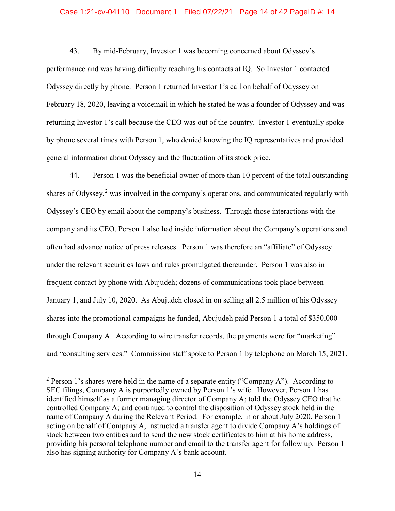### Case 1:21-cv-04110 Document 1 Filed 07/22/21 Page 14 of 42 PageID #: 14

43. By mid-February, Investor 1 was becoming concerned about Odyssey's performance and was having difficulty reaching his contacts at IQ. So Investor 1 contacted Odyssey directly by phone. Person 1 returned Investor 1's call on behalf of Odyssey on February 18, 2020, leaving a voicemail in which he stated he was a founder of Odyssey and was returning Investor 1's call because the CEO was out of the country. Investor 1 eventually spoke by phone several times with Person 1, who denied knowing the IQ representatives and provided general information about Odyssey and the fluctuation of its stock price.

44. Person 1 was the beneficial owner of more than 10 percent of the total outstanding shares of Odyssey, [2](#page-13-0) was involved in the company's operations, and communicated regularly with Odyssey's CEO by email about the company's business. Through those interactions with the company and its CEO, Person 1 also had inside information about the Company's operations and often had advance notice of press releases. Person 1 was therefore an "affiliate" of Odyssey under the relevant securities laws and rules promulgated thereunder. Person 1 was also in frequent contact by phone with Abujudeh; dozens of communications took place between January 1, and July 10, 2020. As Abujudeh closed in on selling all 2.5 million of his Odyssey shares into the promotional campaigns he funded, Abujudeh paid Person 1 a total of \$350,000 through Company A. According to wire transfer records, the payments were for "marketing" and "consulting services." Commission staff spoke to Person 1 by telephone on March 15, 2021.

 $\overline{\phantom{a}}$ 

<span id="page-13-0"></span><sup>&</sup>lt;sup>2</sup> Person 1's shares were held in the name of a separate entity ("Company A"). According to SEC filings, Company A is purportedly owned by Person 1's wife. However, Person 1 has identified himself as a former managing director of Company A; told the Odyssey CEO that he controlled Company A; and continued to control the disposition of Odyssey stock held in the name of Company A during the Relevant Period. For example, in or about July 2020, Person 1 acting on behalf of Company A, instructed a transfer agent to divide Company A's holdings of stock between two entities and to send the new stock certificates to him at his home address, providing his personal telephone number and email to the transfer agent for follow up. Person 1 also has signing authority for Company A's bank account.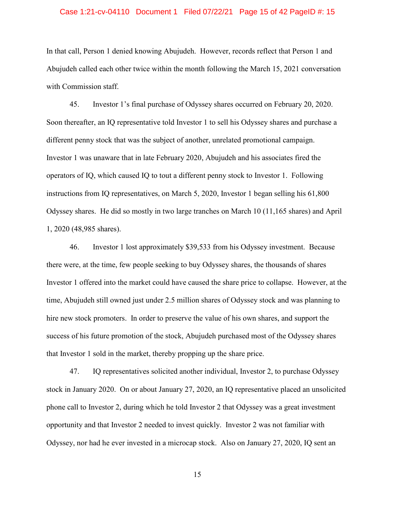#### Case 1:21-cv-04110 Document 1 Filed 07/22/21 Page 15 of 42 PageID #: 15

In that call, Person 1 denied knowing Abujudeh. However, records reflect that Person 1 and Abujudeh called each other twice within the month following the March 15, 2021 conversation with Commission staff.

45. Investor 1's final purchase of Odyssey shares occurred on February 20, 2020. Soon thereafter, an IQ representative told Investor 1 to sell his Odyssey shares and purchase a different penny stock that was the subject of another, unrelated promotional campaign. Investor 1 was unaware that in late February 2020, Abujudeh and his associates fired the operators of IQ, which caused IQ to tout a different penny stock to Investor 1. Following instructions from IQ representatives, on March 5, 2020, Investor 1 began selling his 61,800 Odyssey shares. He did so mostly in two large tranches on March 10 (11,165 shares) and April 1, 2020 (48,985 shares).

46. Investor 1 lost approximately \$39,533 from his Odyssey investment. Because there were, at the time, few people seeking to buy Odyssey shares, the thousands of shares Investor 1 offered into the market could have caused the share price to collapse. However, at the time, Abujudeh still owned just under 2.5 million shares of Odyssey stock and was planning to hire new stock promoters. In order to preserve the value of his own shares, and support the success of his future promotion of the stock, Abujudeh purchased most of the Odyssey shares that Investor 1 sold in the market, thereby propping up the share price.

47. IQ representatives solicited another individual, Investor 2, to purchase Odyssey stock in January 2020. On or about January 27, 2020, an IQ representative placed an unsolicited phone call to Investor 2, during which he told Investor 2 that Odyssey was a great investment opportunity and that Investor 2 needed to invest quickly. Investor 2 was not familiar with Odyssey, nor had he ever invested in a microcap stock. Also on January 27, 2020, IQ sent an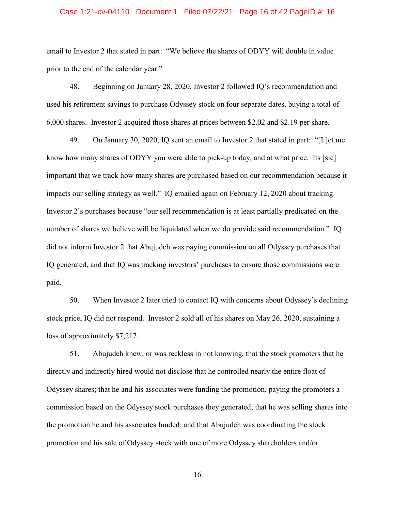#### Case 1:21-cv-04110 Document 1 Filed 07/22/21 Page 16 of 42 PageID #: 16

email to Investor 2 that stated in part: "We believe the shares of ODYY will double in value prior to the end of the calendar year."

48. Beginning on January 28, 2020, Investor 2 followed IQ's recommendation and used his retirement savings to purchase Odyssey stock on four separate dates, buying a total of 6,000 shares. Investor 2 acquired those shares at prices between \$2.02 and \$2.19 per share.

49. On January 30, 2020, IQ sent an email to Investor 2 that stated in part: "[L]et me know how many shares of ODYY you were able to pick-up today, and at what price. Its [sic] important that we track how many shares are purchased based on our recommendation because it impacts our selling strategy as well." IQ emailed again on February 12, 2020 about tracking Investor 2's purchases because "our sell recommendation is at least partially predicated on the number of shares we believe will be liquidated when we do provide said recommendation." IQ did not inform Investor 2 that Abujudeh was paying commission on all Odyssey purchases that IQ generated, and that IQ was tracking investors' purchases to ensure those commissions were paid.

50. When Investor 2 later tried to contact IQ with concerns about Odyssey's declining stock price, IQ did not respond. Investor 2 sold all of his shares on May 26, 2020, sustaining a loss of approximately \$7,217.

51. Abujudeh knew, or was reckless in not knowing, that the stock promoters that he directly and indirectly hired would not disclose that he controlled nearly the entire float of Odyssey shares; that he and his associates were funding the promotion, paying the promoters a commission based on the Odyssey stock purchases they generated; that he was selling shares into the promotion he and his associates funded; and that Abujudeh was coordinating the stock promotion and his sale of Odyssey stock with one of more Odyssey shareholders and/or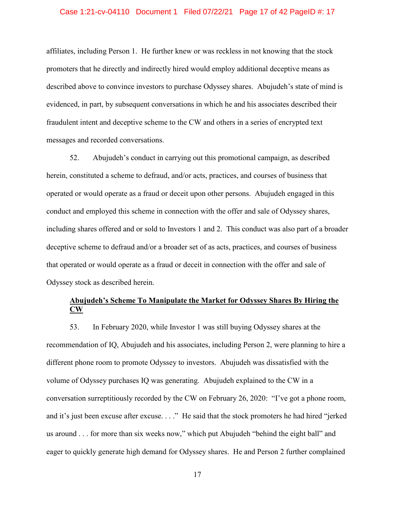#### Case 1:21-cv-04110 Document 1 Filed 07/22/21 Page 17 of 42 PageID #: 17

affiliates, including Person 1. He further knew or was reckless in not knowing that the stock promoters that he directly and indirectly hired would employ additional deceptive means as described above to convince investors to purchase Odyssey shares. Abujudeh's state of mind is evidenced, in part, by subsequent conversations in which he and his associates described their fraudulent intent and deceptive scheme to the CW and others in a series of encrypted text messages and recorded conversations.

52. Abujudeh's conduct in carrying out this promotional campaign, as described herein, constituted a scheme to defraud, and/or acts, practices, and courses of business that operated or would operate as a fraud or deceit upon other persons. Abujudeh engaged in this conduct and employed this scheme in connection with the offer and sale of Odyssey shares, including shares offered and or sold to Investors 1 and 2. This conduct was also part of a broader deceptive scheme to defraud and/or a broader set of as acts, practices, and courses of business that operated or would operate as a fraud or deceit in connection with the offer and sale of Odyssey stock as described herein.

# **Abujudeh's Scheme To Manipulate the Market for Odyssey Shares By Hiring the CW**

53. In February 2020, while Investor 1 was still buying Odyssey shares at the recommendation of IQ, Abujudeh and his associates, including Person 2, were planning to hire a different phone room to promote Odyssey to investors. Abujudeh was dissatisfied with the volume of Odyssey purchases IQ was generating. Abujudeh explained to the CW in a conversation surreptitiously recorded by the CW on February 26, 2020: "I've got a phone room, and it's just been excuse after excuse. . . ." He said that the stock promoters he had hired "jerked us around . . . for more than six weeks now," which put Abujudeh "behind the eight ball" and eager to quickly generate high demand for Odyssey shares. He and Person 2 further complained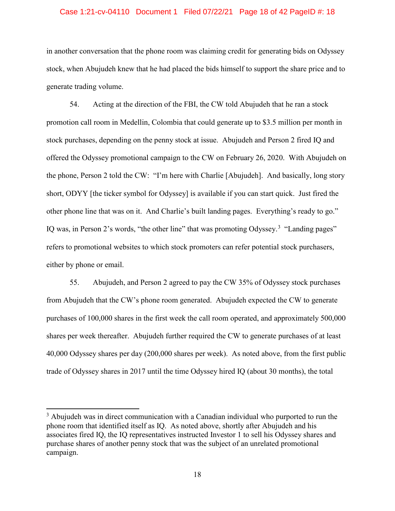#### Case 1:21-cv-04110 Document 1 Filed 07/22/21 Page 18 of 42 PageID #: 18

in another conversation that the phone room was claiming credit for generating bids on Odyssey stock, when Abujudeh knew that he had placed the bids himself to support the share price and to generate trading volume.

54. Acting at the direction of the FBI, the CW told Abujudeh that he ran a stock promotion call room in Medellin, Colombia that could generate up to \$3.5 million per month in stock purchases, depending on the penny stock at issue. Abujudeh and Person 2 fired IQ and offered the Odyssey promotional campaign to the CW on February 26, 2020. With Abujudeh on the phone, Person 2 told the CW: "I'm here with Charlie [Abujudeh]. And basically, long story short, ODYY [the ticker symbol for Odyssey] is available if you can start quick. Just fired the other phone line that was on it. And Charlie's built landing pages. Everything's ready to go." IQ was, in Person 2's words, "the other line" that was promoting Odyssey.<sup>[3](#page-17-0)</sup> "Landing pages" refers to promotional websites to which stock promoters can refer potential stock purchasers, either by phone or email.

55. Abujudeh, and Person 2 agreed to pay the CW 35% of Odyssey stock purchases from Abujudeh that the CW's phone room generated. Abujudeh expected the CW to generate purchases of 100,000 shares in the first week the call room operated, and approximately 500,000 shares per week thereafter. Abujudeh further required the CW to generate purchases of at least 40,000 Odyssey shares per day (200,000 shares per week). As noted above, from the first public trade of Odyssey shares in 2017 until the time Odyssey hired IQ (about 30 months), the total

 $\overline{a}$ 

<span id="page-17-0"></span> $3$  Abujudeh was in direct communication with a Canadian individual who purported to run the phone room that identified itself as IQ. As noted above, shortly after Abujudeh and his associates fired IQ, the IQ representatives instructed Investor 1 to sell his Odyssey shares and purchase shares of another penny stock that was the subject of an unrelated promotional campaign.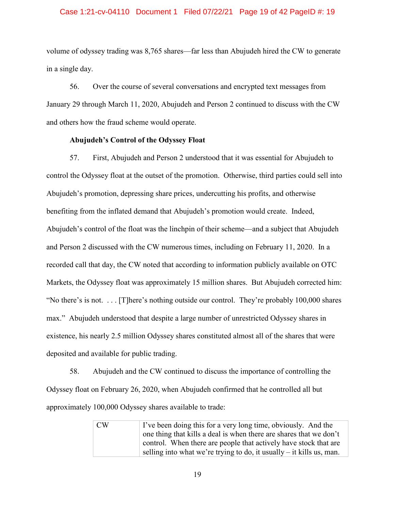### Case 1:21-cv-04110 Document 1 Filed 07/22/21 Page 19 of 42 PageID #: 19

volume of odyssey trading was 8,765 shares—far less than Abujudeh hired the CW to generate in a single day.

56. Over the course of several conversations and encrypted text messages from January 29 through March 11, 2020, Abujudeh and Person 2 continued to discuss with the CW and others how the fraud scheme would operate.

## **Abujudeh's Control of the Odyssey Float**

57. First, Abujudeh and Person 2 understood that it was essential for Abujudeh to control the Odyssey float at the outset of the promotion. Otherwise, third parties could sell into Abujudeh's promotion, depressing share prices, undercutting his profits, and otherwise benefiting from the inflated demand that Abujudeh's promotion would create. Indeed, Abujudeh's control of the float was the linchpin of their scheme—and a subject that Abujudeh and Person 2 discussed with the CW numerous times, including on February 11, 2020. In a recorded call that day, the CW noted that according to information publicly available on OTC Markets, the Odyssey float was approximately 15 million shares. But Abujudeh corrected him: "No there's is not. . . . [T]here's nothing outside our control. They're probably 100,000 shares max." Abujudeh understood that despite a large number of unrestricted Odyssey shares in existence, his nearly 2.5 million Odyssey shares constituted almost all of the shares that were deposited and available for public trading.

58. Abujudeh and the CW continued to discuss the importance of controlling the Odyssey float on February 26, 2020, when Abujudeh confirmed that he controlled all but approximately 100,000 Odyssey shares available to trade:

> $CW$  I've been doing this for a very long time, obviously. And the one thing that kills a deal is when there are shares that we don't control. When there are people that actively have stock that are selling into what we're trying to do, it usually  $-$  it kills us, man.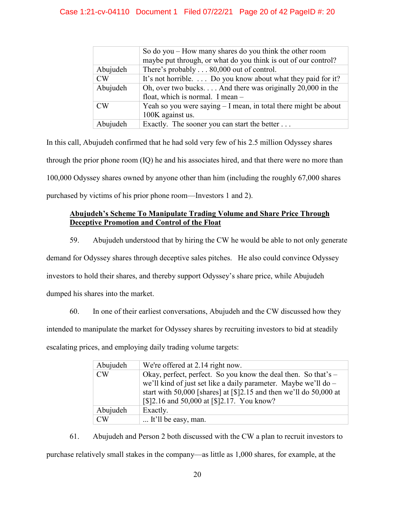# Case 1:21-cv-04110 Document 1 Filed 07/22/21 Page 20 of 42 PageID #: 20

|           | So do you $-$ How many shares do you think the other room<br>maybe put through, or what do you think is out of our control? |
|-----------|-----------------------------------------------------------------------------------------------------------------------------|
| Abujudeh  | There's probably 80,000 out of control.                                                                                     |
| CW        | It's not horrible.  Do you know about what they paid for it?                                                                |
| Abujudeh  | Oh, over two bucks And there was originally 20,000 in the<br>float, which is normal. I mean -                               |
| <b>CW</b> | Yeah so you were saying $-1$ mean, in total there might be about<br>100K against us.                                        |
| Abujudeh  | Exactly. The sooner you can start the better                                                                                |

In this call, Abujudeh confirmed that he had sold very few of his 2.5 million Odyssey shares through the prior phone room (IQ) he and his associates hired, and that there were no more than 100,000 Odyssey shares owned by anyone other than him (including the roughly 67,000 shares purchased by victims of his prior phone room—Investors 1 and 2).

# **Abujudeh's Scheme To Manipulate Trading Volume and Share Price Through Deceptive Promotion and Control of the Float**

59. Abujudeh understood that by hiring the CW he would be able to not only generate demand for Odyssey shares through deceptive sales pitches. He also could convince Odyssey investors to hold their shares, and thereby support Odyssey's share price, while Abujudeh dumped his shares into the market.

60. In one of their earliest conversations, Abujudeh and the CW discussed how they intended to manipulate the market for Odyssey shares by recruiting investors to bid at steadily escalating prices, and employing daily trading volume targets:

| Abujudeh  | We're offered at 2.14 right now.                                                                                                                                                                                                                               |
|-----------|----------------------------------------------------------------------------------------------------------------------------------------------------------------------------------------------------------------------------------------------------------------|
| <b>CW</b> | Okay, perfect, perfect. So you know the deal then. So that's $-$<br>we'll kind of just set like a daily parameter. Maybe we'll do -<br>start with 50,000 [shares] at $\lceil $]2.15$ and then we'll do 50,000 at<br>[\$]2.16 and 50,000 at [\$]2.17. You know? |
| Abujudeh  | Exactly.                                                                                                                                                                                                                                                       |
| <b>CW</b> | It'll be easy, man.                                                                                                                                                                                                                                            |

61. Abujudeh and Person 2 both discussed with the CW a plan to recruit investors to purchase relatively small stakes in the company—as little as 1,000 shares, for example, at the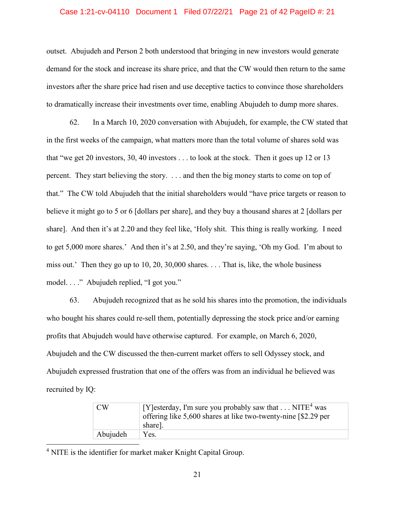### Case 1:21-cv-04110 Document 1 Filed 07/22/21 Page 21 of 42 PageID #: 21

outset. Abujudeh and Person 2 both understood that bringing in new investors would generate demand for the stock and increase its share price, and that the CW would then return to the same investors after the share price had risen and use deceptive tactics to convince those shareholders to dramatically increase their investments over time, enabling Abujudeh to dump more shares.

62. In a March 10, 2020 conversation with Abujudeh, for example, the CW stated that in the first weeks of the campaign, what matters more than the total volume of shares sold was that "we get 20 investors, 30, 40 investors . . . to look at the stock. Then it goes up 12 or 13 percent. They start believing the story. . . . and then the big money starts to come on top of that." The CW told Abujudeh that the initial shareholders would "have price targets or reason to believe it might go to 5 or 6 [dollars per share], and they buy a thousand shares at 2 [dollars per share]. And then it's at 2.20 and they feel like, 'Holy shit. This thing is really working. I need to get 5,000 more shares.' And then it's at 2.50, and they're saying, 'Oh my God. I'm about to miss out.' Then they go up to 10, 20, 30,000 shares. . . . That is, like, the whole business model. . . ." Abujudeh replied, "I got you."

63. Abujudeh recognized that as he sold his shares into the promotion, the individuals who bought his shares could re-sell them, potentially depressing the stock price and/or earning profits that Abujudeh would have otherwise captured. For example, on March 6, 2020, Abujudeh and the CW discussed the then-current market offers to sell Odyssey stock, and Abujudeh expressed frustration that one of the offers was from an individual he believed was recruited by IQ:

| CW       | [Y] esterday, I'm sure you probably saw that $\dots$ NITE <sup>4</sup> was<br>offering like 5,600 shares at like two-twenty-nine [\$2.29 per |
|----------|----------------------------------------------------------------------------------------------------------------------------------------------|
|          | share].                                                                                                                                      |
| Abujudeh | Yes.                                                                                                                                         |

<span id="page-20-0"></span><sup>4</sup> NITE is the identifier for market maker Knight Capital Group.

l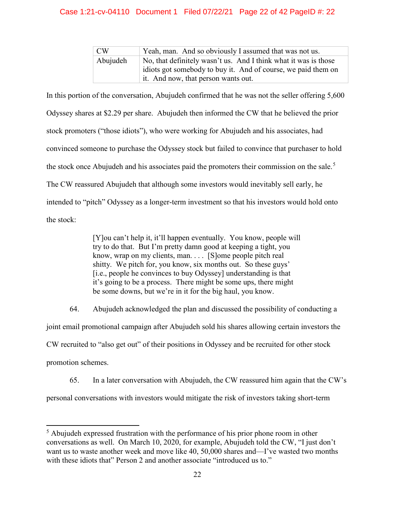# Case 1:21-cv-04110 Document 1 Filed 07/22/21 Page 22 of 42 PageID #: 22

| CW <sub></sub> | Yeah, man. And so obviously I assumed that was not us.                                                                                                                  |
|----------------|-------------------------------------------------------------------------------------------------------------------------------------------------------------------------|
| Abujudeh       | No, that definitely wasn't us. And I think what it was is those<br>idiots got somebody to buy it. And of course, we paid them on<br>it. And now, that person wants out. |

In this portion of the conversation, Abujudeh confirmed that he was not the seller offering 5,600 Odyssey shares at \$2.29 per share. Abujudeh then informed the CW that he believed the prior stock promoters ("those idiots"), who were working for Abujudeh and his associates, had convinced someone to purchase the Odyssey stock but failed to convince that purchaser to hold the stock once Abujudeh and his associates paid the promoters their commission on the sale.<sup>[5](#page-21-0)</sup> The CW reassured Abujudeh that although some investors would inevitably sell early, he intended to "pitch" Odyssey as a longer-term investment so that his investors would hold onto the stock:

> [Y]ou can't help it, it'll happen eventually. You know, people will try to do that. But I'm pretty damn good at keeping a tight, you know, wrap on my clients, man. . . . [S]ome people pitch real shitty. We pitch for, you know, six months out. So these guys' [i.e., people he convinces to buy Odyssey] understanding is that it's going to be a process. There might be some ups, there might be some downs, but we're in it for the big haul, you know.

64. Abujudeh acknowledged the plan and discussed the possibility of conducting a joint email promotional campaign after Abujudeh sold his shares allowing certain investors the CW recruited to "also get out" of their positions in Odyssey and be recruited for other stock promotion schemes.

65. In a later conversation with Abujudeh, the CW reassured him again that the CW's personal conversations with investors would mitigate the risk of investors taking short-term

 $\overline{\phantom{a}}$ 

<span id="page-21-0"></span><sup>&</sup>lt;sup>5</sup> Abujudeh expressed frustration with the performance of his prior phone room in other conversations as well. On March 10, 2020, for example, Abujudeh told the CW, "I just don't want us to waste another week and move like 40, 50,000 shares and—I've wasted two months with these idiots that" Person 2 and another associate "introduced us to."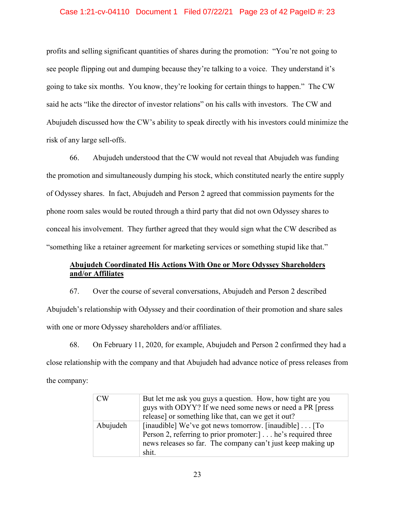### Case 1:21-cv-04110 Document 1 Filed 07/22/21 Page 23 of 42 PageID #: 23

profits and selling significant quantities of shares during the promotion: "You're not going to see people flipping out and dumping because they're talking to a voice. They understand it's going to take six months. You know, they're looking for certain things to happen." The CW said he acts "like the director of investor relations" on his calls with investors. The CW and Abujudeh discussed how the CW's ability to speak directly with his investors could minimize the risk of any large sell-offs.

66. Abujudeh understood that the CW would not reveal that Abujudeh was funding the promotion and simultaneously dumping his stock, which constituted nearly the entire supply of Odyssey shares. In fact, Abujudeh and Person 2 agreed that commission payments for the phone room sales would be routed through a third party that did not own Odyssey shares to conceal his involvement. They further agreed that they would sign what the CW described as "something like a retainer agreement for marketing services or something stupid like that."

# **Abujudeh Coordinated His Actions With One or More Odyssey Shareholders and/or Affiliates**

67. Over the course of several conversations, Abujudeh and Person 2 described Abujudeh's relationship with Odyssey and their coordination of their promotion and share sales with one or more Odyssey shareholders and/or affiliates.

68. On February 11, 2020, for example, Abujudeh and Person 2 confirmed they had a close relationship with the company and that Abujudeh had advance notice of press releases from the company:

| CW       | But let me ask you guys a question. How, how tight are you<br>guys with ODYY? If we need some news or need a PR [press]<br>release] or something like that, can we get it out?                    |
|----------|---------------------------------------------------------------------------------------------------------------------------------------------------------------------------------------------------|
| Abujudeh | [inaudible] We've got news tomorrow. [inaudible] [To<br>Person 2, referring to prior promoter: [1.1]. he's required three<br>news releases so far. The company can't just keep making up<br>shit. |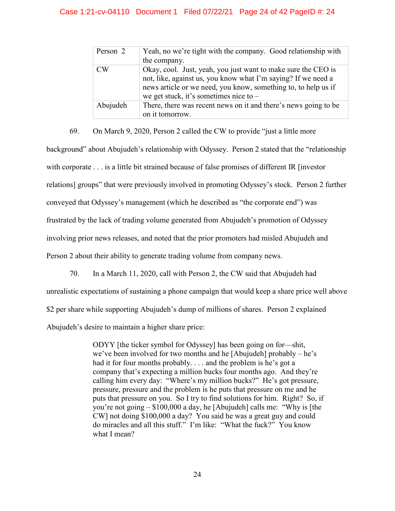## Case 1:21-cv-04110 Document 1 Filed 07/22/21 Page 24 of 42 PageID #: 24

| Person 2       | Yeah, no we're tight with the company. Good relationship with<br>the company.                                                                                                                                                                |
|----------------|----------------------------------------------------------------------------------------------------------------------------------------------------------------------------------------------------------------------------------------------|
| CW <sub></sub> | Okay, cool. Just, yeah, you just want to make sure the CEO is<br>not, like, against us, you know what I'm saying? If we need a<br>news article or we need, you know, something to, to help us if<br>we get stuck, it's sometimes nice to $-$ |
| Abujudeh       | There, there was recent news on it and there's news going to be<br>on it tomorrow.                                                                                                                                                           |

69. On March 9, 2020, Person 2 called the CW to provide "just a little more background" about Abujudeh's relationship with Odyssey. Person 2 stated that the "relationship with corporate . . . is a little bit strained because of false promises of different IR [investor] relations] groups" that were previously involved in promoting Odyssey's stock. Person 2 further conveyed that Odyssey's management (which he described as "the corporate end") was frustrated by the lack of trading volume generated from Abujudeh's promotion of Odyssey involving prior news releases, and noted that the prior promoters had misled Abujudeh and Person 2 about their ability to generate trading volume from company news.

70. In a March 11, 2020, call with Person 2, the CW said that Abujudeh had

unrealistic expectations of sustaining a phone campaign that would keep a share price well above \$2 per share while supporting Abujudeh's dump of millions of shares. Person 2 explained Abujudeh's desire to maintain a higher share price:

> ODYY [the ticker symbol for Odyssey] has been going on for—shit, we've been involved for two months and he [Abujudeh] probably – he's had it for four months probably. . . . and the problem is he's got a company that's expecting a million bucks four months ago. And they're calling him every day: "Where's my million bucks?" He's got pressure, pressure, pressure and the problem is he puts that pressure on me and he puts that pressure on you. So I try to find solutions for him. Right? So, if you're not going – \$100,000 a day, he [Abujudeh] calls me: "Why is [the CW] not doing \$100,000 a day? You said he was a great guy and could do miracles and all this stuff." I'm like: "What the fuck?" You know what I mean?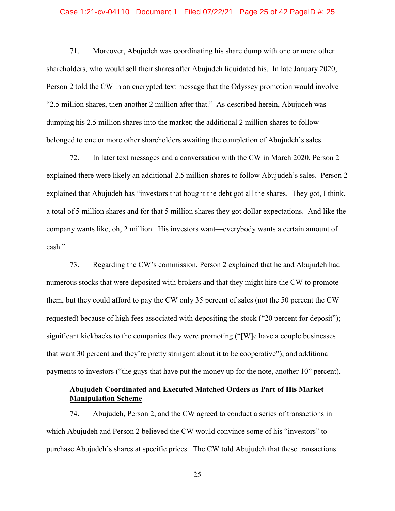### Case 1:21-cv-04110 Document 1 Filed 07/22/21 Page 25 of 42 PageID #: 25

71. Moreover, Abujudeh was coordinating his share dump with one or more other shareholders, who would sell their shares after Abujudeh liquidated his. In late January 2020, Person 2 told the CW in an encrypted text message that the Odyssey promotion would involve "2.5 million shares, then another 2 million after that." As described herein, Abujudeh was dumping his 2.5 million shares into the market; the additional 2 million shares to follow belonged to one or more other shareholders awaiting the completion of Abujudeh's sales.

72. In later text messages and a conversation with the CW in March 2020, Person 2 explained there were likely an additional 2.5 million shares to follow Abujudeh's sales. Person 2 explained that Abujudeh has "investors that bought the debt got all the shares. They got, I think, a total of 5 million shares and for that 5 million shares they got dollar expectations. And like the company wants like, oh, 2 million. His investors want—everybody wants a certain amount of cash."

73. Regarding the CW's commission, Person 2 explained that he and Abujudeh had numerous stocks that were deposited with brokers and that they might hire the CW to promote them, but they could afford to pay the CW only 35 percent of sales (not the 50 percent the CW requested) because of high fees associated with depositing the stock ("20 percent for deposit"); significant kickbacks to the companies they were promoting ("[W]e have a couple businesses that want 30 percent and they're pretty stringent about it to be cooperative"); and additional payments to investors ("the guys that have put the money up for the note, another 10" percent).

# **Abujudeh Coordinated and Executed Matched Orders as Part of His Market Manipulation Scheme**

74. Abujudeh, Person 2, and the CW agreed to conduct a series of transactions in which Abujudeh and Person 2 believed the CW would convince some of his "investors" to purchase Abujudeh's shares at specific prices. The CW told Abujudeh that these transactions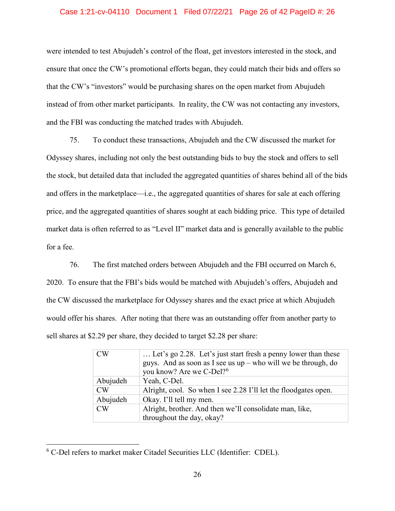### Case 1:21-cv-04110 Document 1 Filed 07/22/21 Page 26 of 42 PageID #: 26

were intended to test Abujudeh's control of the float, get investors interested in the stock, and ensure that once the CW's promotional efforts began, they could match their bids and offers so that the CW's "investors" would be purchasing shares on the open market from Abujudeh instead of from other market participants. In reality, the CW was not contacting any investors, and the FBI was conducting the matched trades with Abujudeh.

75. To conduct these transactions, Abujudeh and the CW discussed the market for Odyssey shares, including not only the best outstanding bids to buy the stock and offers to sell the stock, but detailed data that included the aggregated quantities of shares behind all of the bids and offers in the marketplace—i.e., the aggregated quantities of shares for sale at each offering price, and the aggregated quantities of shares sought at each bidding price. This type of detailed market data is often referred to as "Level II" market data and is generally available to the public for a fee.

76. The first matched orders between Abujudeh and the FBI occurred on March 6, 2020. To ensure that the FBI's bids would be matched with Abujudeh's offers, Abujudeh and the CW discussed the marketplace for Odyssey shares and the exact price at which Abujudeh would offer his shares. After noting that there was an outstanding offer from another party to sell shares at \$2.29 per share, they decided to target \$2.28 per share:

| <b>CW</b> | Let's go 2.28. Let's just start fresh a penny lower than these<br>guys. And as soon as I see us $up$ – who will we be through, do<br>you know? Are we C-Del? <sup>6</sup> |
|-----------|---------------------------------------------------------------------------------------------------------------------------------------------------------------------------|
| Abujudeh  | Yeah, C-Del.                                                                                                                                                              |
| <b>CW</b> | Alright, cool. So when I see 2.28 I'll let the floodgates open.                                                                                                           |
| Abujudeh  | Okay. I'll tell my men.                                                                                                                                                   |
| $\rm CW$  | Alright, brother. And then we'll consolidate man, like,<br>throughout the day, okay?                                                                                      |

<span id="page-25-0"></span> $6$  C-Del refers to market maker Citadel Securities LLC (Identifier: CDEL).

l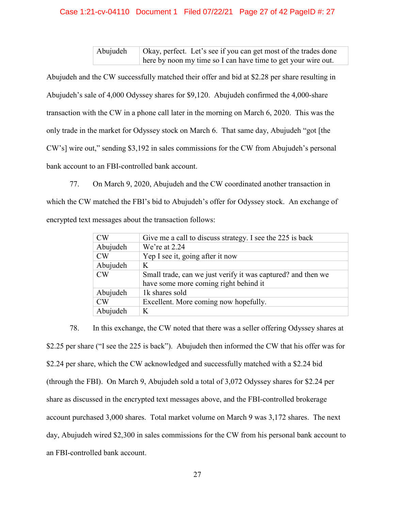## Case 1:21-cv-04110 Document 1 Filed 07/22/21 Page 27 of 42 PageID #: 27

Abujudeh Okay, perfect. Let's see if you can get most of the trades done here by noon my time so I can have time to get your wire out.

Abujudeh and the CW successfully matched their offer and bid at \$2.28 per share resulting in Abujudeh's sale of 4,000 Odyssey shares for \$9,120. Abujudeh confirmed the 4,000-share transaction with the CW in a phone call later in the morning on March 6, 2020. This was the only trade in the market for Odyssey stock on March 6. That same day, Abujudeh "got [the CW's] wire out," sending \$3,192 in sales commissions for the CW from Abujudeh's personal bank account to an FBI-controlled bank account.

77. On March 9, 2020, Abujudeh and the CW coordinated another transaction in which the CW matched the FBI's bid to Abujudeh's offer for Odyssey stock. An exchange of encrypted text messages about the transaction follows:

| <b>CW</b> | Give me a call to discuss strategy. I see the 225 is back    |
|-----------|--------------------------------------------------------------|
| Abujudeh  | We're at $2.24$                                              |
| <b>CW</b> | Yep I see it, going after it now                             |
| Abujudeh  | K                                                            |
| <b>CW</b> | Small trade, can we just verify it was captured? and then we |
|           | have some more coming right behind it                        |
| Abujudeh  | 1k shares sold                                               |
| <b>CW</b> | Excellent. More coming now hopefully.                        |
| Abujudeh  | K                                                            |

78. In this exchange, the CW noted that there was a seller offering Odyssey shares at \$2.25 per share ("I see the 225 is back"). Abujudeh then informed the CW that his offer was for \$2.24 per share, which the CW acknowledged and successfully matched with a \$2.24 bid (through the FBI). On March 9, Abujudeh sold a total of 3,072 Odyssey shares for \$2.24 per share as discussed in the encrypted text messages above, and the FBI-controlled brokerage account purchased 3,000 shares. Total market volume on March 9 was 3,172 shares. The next day, Abujudeh wired \$2,300 in sales commissions for the CW from his personal bank account to an FBI-controlled bank account.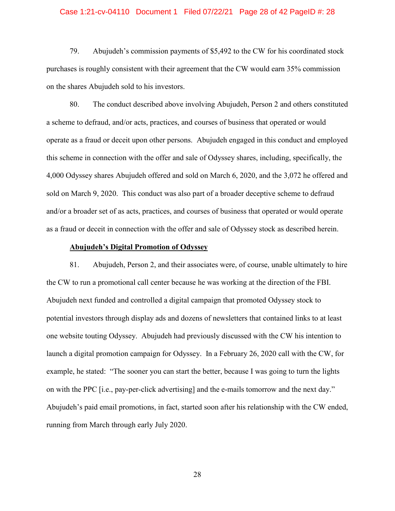#### Case 1:21-cv-04110 Document 1 Filed 07/22/21 Page 28 of 42 PageID #: 28

79. Abujudeh's commission payments of \$5,492 to the CW for his coordinated stock purchases is roughly consistent with their agreement that the CW would earn 35% commission on the shares Abujudeh sold to his investors.

80. The conduct described above involving Abujudeh, Person 2 and others constituted a scheme to defraud, and/or acts, practices, and courses of business that operated or would operate as a fraud or deceit upon other persons. Abujudeh engaged in this conduct and employed this scheme in connection with the offer and sale of Odyssey shares, including, specifically, the 4,000 Odyssey shares Abujudeh offered and sold on March 6, 2020, and the 3,072 he offered and sold on March 9, 2020. This conduct was also part of a broader deceptive scheme to defraud and/or a broader set of as acts, practices, and courses of business that operated or would operate as a fraud or deceit in connection with the offer and sale of Odyssey stock as described herein.

### **Abujudeh's Digital Promotion of Odyssey**

81. Abujudeh, Person 2, and their associates were, of course, unable ultimately to hire the CW to run a promotional call center because he was working at the direction of the FBI. Abujudeh next funded and controlled a digital campaign that promoted Odyssey stock to potential investors through display ads and dozens of newsletters that contained links to at least one website touting Odyssey. Abujudeh had previously discussed with the CW his intention to launch a digital promotion campaign for Odyssey. In a February 26, 2020 call with the CW, for example, he stated: "The sooner you can start the better, because I was going to turn the lights on with the PPC [i.e., pay-per-click advertising] and the e-mails tomorrow and the next day." Abujudeh's paid email promotions, in fact, started soon after his relationship with the CW ended, running from March through early July 2020.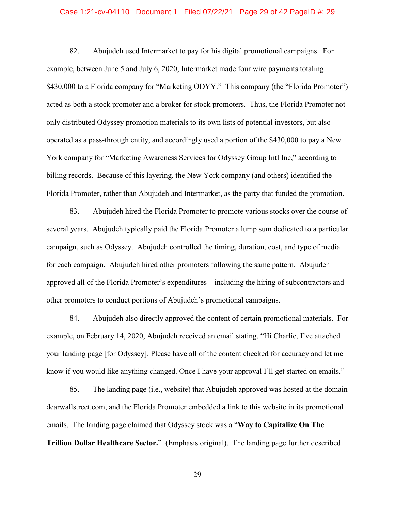#### Case 1:21-cv-04110 Document 1 Filed 07/22/21 Page 29 of 42 PageID #: 29

82. Abujudeh used Intermarket to pay for his digital promotional campaigns. For example, between June 5 and July 6, 2020, Intermarket made four wire payments totaling \$430,000 to a Florida company for "Marketing ODYY." This company (the "Florida Promoter") acted as both a stock promoter and a broker for stock promoters. Thus, the Florida Promoter not only distributed Odyssey promotion materials to its own lists of potential investors, but also operated as a pass-through entity, and accordingly used a portion of the \$430,000 to pay a New York company for "Marketing Awareness Services for Odyssey Group Intl Inc," according to billing records. Because of this layering, the New York company (and others) identified the Florida Promoter, rather than Abujudeh and Intermarket, as the party that funded the promotion.

83. Abujudeh hired the Florida Promoter to promote various stocks over the course of several years. Abujudeh typically paid the Florida Promoter a lump sum dedicated to a particular campaign, such as Odyssey. Abujudeh controlled the timing, duration, cost, and type of media for each campaign. Abujudeh hired other promoters following the same pattern. Abujudeh approved all of the Florida Promoter's expenditures—including the hiring of subcontractors and other promoters to conduct portions of Abujudeh's promotional campaigns.

84. Abujudeh also directly approved the content of certain promotional materials. For example, on February 14, 2020, Abujudeh received an email stating, "Hi Charlie, I've attached your landing page [for Odyssey]. Please have all of the content checked for accuracy and let me know if you would like anything changed. Once I have your approval I'll get started on emails."

85. The landing page (i.e., website) that Abujudeh approved was hosted at the domain dearwallstreet.com, and the Florida Promoter embedded a link to this website in its promotional emails. The landing page claimed that Odyssey stock was a "**Way to Capitalize On The Trillion Dollar Healthcare Sector.**" (Emphasis original). The landing page further described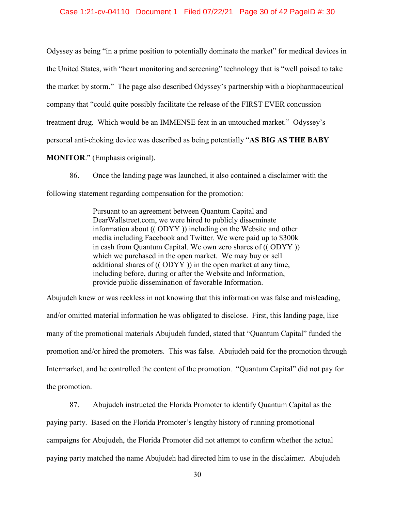Odyssey as being "in a prime position to potentially dominate the market" for medical devices in the United States, with "heart monitoring and screening" technology that is "well poised to take the market by storm." The page also described Odyssey's partnership with a biopharmaceutical company that "could quite possibly facilitate the release of the FIRST EVER concussion treatment drug. Which would be an IMMENSE feat in an untouched market." Odyssey's personal anti-choking device was described as being potentially "**AS BIG AS THE BABY MONITOR**." (Emphasis original).

86. Once the landing page was launched, it also contained a disclaimer with the following statement regarding compensation for the promotion:

> Pursuant to an agreement between Quantum Capital and DearWallstreet.com, we were hired to publicly disseminate information about (( ODYY )) including on the Website and other media including Facebook and Twitter. We were paid up to \$300k in cash from Quantum Capital. We own zero shares of (( ODYY )) which we purchased in the open market. We may buy or sell additional shares of (( ODYY )) in the open market at any time, including before, during or after the Website and Information, provide public dissemination of favorable Information.

Abujudeh knew or was reckless in not knowing that this information was false and misleading, and/or omitted material information he was obligated to disclose. First, this landing page, like many of the promotional materials Abujudeh funded, stated that "Quantum Capital" funded the promotion and/or hired the promoters. This was false. Abujudeh paid for the promotion through Intermarket, and he controlled the content of the promotion. "Quantum Capital" did not pay for the promotion.

87. Abujudeh instructed the Florida Promoter to identify Quantum Capital as the paying party. Based on the Florida Promoter's lengthy history of running promotional campaigns for Abujudeh, the Florida Promoter did not attempt to confirm whether the actual paying party matched the name Abujudeh had directed him to use in the disclaimer. Abujudeh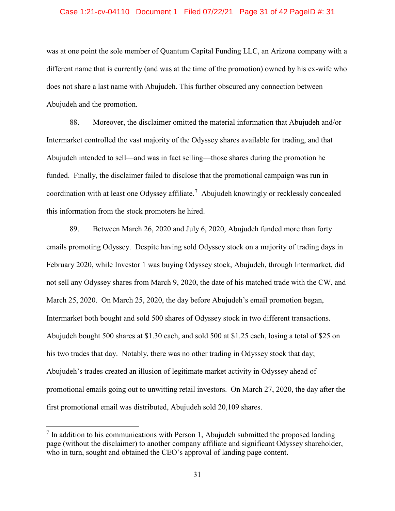#### Case 1:21-cv-04110 Document 1 Filed 07/22/21 Page 31 of 42 PageID #: 31

was at one point the sole member of Quantum Capital Funding LLC, an Arizona company with a different name that is currently (and was at the time of the promotion) owned by his ex-wife who does not share a last name with Abujudeh. This further obscured any connection between Abujudeh and the promotion.

88. Moreover, the disclaimer omitted the material information that Abujudeh and/or Intermarket controlled the vast majority of the Odyssey shares available for trading, and that Abujudeh intended to sell—and was in fact selling—those shares during the promotion he funded. Finally, the disclaimer failed to disclose that the promotional campaign was run in coordination with at least one Odyssey affiliate.<sup>[7](#page-30-0)</sup> Abujudeh knowingly or recklessly concealed this information from the stock promoters he hired.

89. Between March 26, 2020 and July 6, 2020, Abujudeh funded more than forty emails promoting Odyssey. Despite having sold Odyssey stock on a majority of trading days in February 2020, while Investor 1 was buying Odyssey stock, Abujudeh, through Intermarket, did not sell any Odyssey shares from March 9, 2020, the date of his matched trade with the CW, and March 25, 2020. On March 25, 2020, the day before Abujudeh's email promotion began, Intermarket both bought and sold 500 shares of Odyssey stock in two different transactions. Abujudeh bought 500 shares at \$1.30 each, and sold 500 at \$1.25 each, losing a total of \$25 on his two trades that day. Notably, there was no other trading in Odyssey stock that day; Abujudeh's trades created an illusion of legitimate market activity in Odyssey ahead of promotional emails going out to unwitting retail investors. On March 27, 2020, the day after the first promotional email was distributed, Abujudeh sold 20,109 shares.

 $\overline{\phantom{a}}$ 

<span id="page-30-0"></span> $<sup>7</sup>$  In addition to his communications with Person 1, Abujudeh submitted the proposed landing</sup> page (without the disclaimer) to another company affiliate and significant Odyssey shareholder, who in turn, sought and obtained the CEO's approval of landing page content.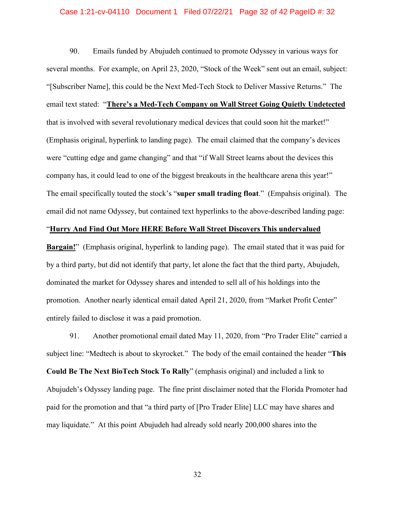#### Case 1:21-cv-04110 Document 1 Filed 07/22/21 Page 32 of 42 PageID #: 32

90. Emails funded by Abujudeh continued to promote Odyssey in various ways for several months. For example, on April 23, 2020, "Stock of the Week" sent out an email, subject: "[Subscriber Name], this could be the Next Med-Tech Stock to Deliver Massive Returns." The email text stated: "**There's a Med-Tech Company on Wall Street Going Quietly Undetected** that is involved with several revolutionary medical devices that could soon hit the market!" (Emphasis original, hyperlink to landing page). The email claimed that the company's devices were "cutting edge and game changing" and that "if Wall Street learns about the devices this company has, it could lead to one of the biggest breakouts in the healthcare arena this year!" The email specifically touted the stock's "**super small trading float**." (Empahsis original). The email did not name Odyssey, but contained text hyperlinks to the above-described landing page:

## "**Hurry And Find Out More HERE Before Wall Street Discovers This undervalued**

**Bargain!**" (Emphasis original, hyperlink to landing page). The email stated that it was paid for by a third party, but did not identify that party, let alone the fact that the third party, Abujudeh, dominated the market for Odyssey shares and intended to sell all of his holdings into the promotion. Another nearly identical email dated April 21, 2020, from "Market Profit Center" entirely failed to disclose it was a paid promotion.

91. Another promotional email dated May 11, 2020, from "Pro Trader Elite" carried a subject line: "Medtech is about to skyrocket." The body of the email contained the header "**This Could Be The Next BioTech Stock To Rally**" (emphasis original) and included a link to Abujudeh's Odyssey landing page. The fine print disclaimer noted that the Florida Promoter had paid for the promotion and that "a third party of [Pro Trader Elite] LLC may have shares and may liquidate." At this point Abujudeh had already sold nearly 200,000 shares into the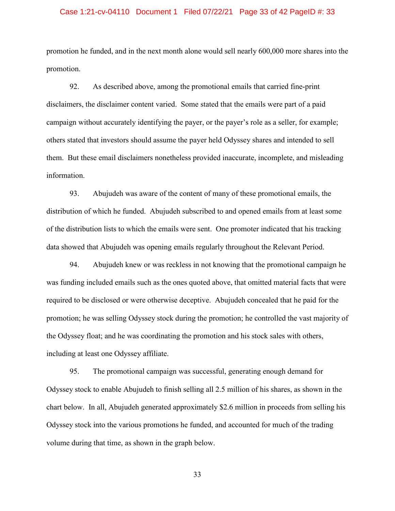#### Case 1:21-cv-04110 Document 1 Filed 07/22/21 Page 33 of 42 PageID #: 33

promotion he funded, and in the next month alone would sell nearly 600,000 more shares into the promotion.

92. As described above, among the promotional emails that carried fine-print disclaimers, the disclaimer content varied. Some stated that the emails were part of a paid campaign without accurately identifying the payer, or the payer's role as a seller, for example; others stated that investors should assume the payer held Odyssey shares and intended to sell them. But these email disclaimers nonetheless provided inaccurate, incomplete, and misleading information.

93. Abujudeh was aware of the content of many of these promotional emails, the distribution of which he funded. Abujudeh subscribed to and opened emails from at least some of the distribution lists to which the emails were sent. One promoter indicated that his tracking data showed that Abujudeh was opening emails regularly throughout the Relevant Period.

94. Abujudeh knew or was reckless in not knowing that the promotional campaign he was funding included emails such as the ones quoted above, that omitted material facts that were required to be disclosed or were otherwise deceptive. Abujudeh concealed that he paid for the promotion; he was selling Odyssey stock during the promotion; he controlled the vast majority of the Odyssey float; and he was coordinating the promotion and his stock sales with others, including at least one Odyssey affiliate.

95. The promotional campaign was successful, generating enough demand for Odyssey stock to enable Abujudeh to finish selling all 2.5 million of his shares, as shown in the chart below. In all, Abujudeh generated approximately \$2.6 million in proceeds from selling his Odyssey stock into the various promotions he funded, and accounted for much of the trading volume during that time, as shown in the graph below.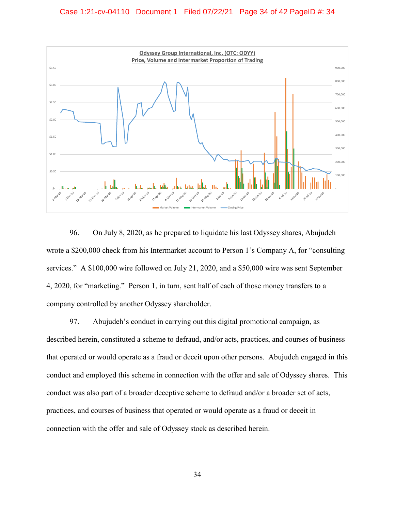

96. On July 8, 2020, as he prepared to liquidate his last Odyssey shares, Abujudeh wrote a \$200,000 check from his Intermarket account to Person 1's Company A, for "consulting services." A \$100,000 wire followed on July 21, 2020, and a \$50,000 wire was sent September 4, 2020, for "marketing." Person 1, in turn, sent half of each of those money transfers to a company controlled by another Odyssey shareholder.

97. Abujudeh's conduct in carrying out this digital promotional campaign, as described herein, constituted a scheme to defraud, and/or acts, practices, and courses of business that operated or would operate as a fraud or deceit upon other persons. Abujudeh engaged in this conduct and employed this scheme in connection with the offer and sale of Odyssey shares. This conduct was also part of a broader deceptive scheme to defraud and/or a broader set of acts, practices, and courses of business that operated or would operate as a fraud or deceit in connection with the offer and sale of Odyssey stock as described herein.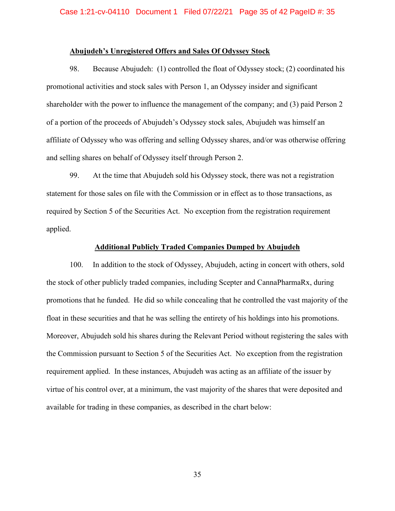### **Abujudeh's Unregistered Offers and Sales Of Odyssey Stock**

98. Because Abujudeh: (1) controlled the float of Odyssey stock; (2) coordinated his promotional activities and stock sales with Person 1, an Odyssey insider and significant shareholder with the power to influence the management of the company; and (3) paid Person 2 of a portion of the proceeds of Abujudeh's Odyssey stock sales, Abujudeh was himself an affiliate of Odyssey who was offering and selling Odyssey shares, and/or was otherwise offering and selling shares on behalf of Odyssey itself through Person 2.

99. At the time that Abujudeh sold his Odyssey stock, there was not a registration statement for those sales on file with the Commission or in effect as to those transactions, as required by Section 5 of the Securities Act. No exception from the registration requirement applied.

### **Additional Publicly Traded Companies Dumped by Abujudeh**

100. In addition to the stock of Odyssey, Abujudeh, acting in concert with others, sold the stock of other publicly traded companies, including Scepter and CannaPharmaRx, during promotions that he funded. He did so while concealing that he controlled the vast majority of the float in these securities and that he was selling the entirety of his holdings into his promotions. Moreover, Abujudeh sold his shares during the Relevant Period without registering the sales with the Commission pursuant to Section 5 of the Securities Act. No exception from the registration requirement applied. In these instances, Abujudeh was acting as an affiliate of the issuer by virtue of his control over, at a minimum, the vast majority of the shares that were deposited and available for trading in these companies, as described in the chart below: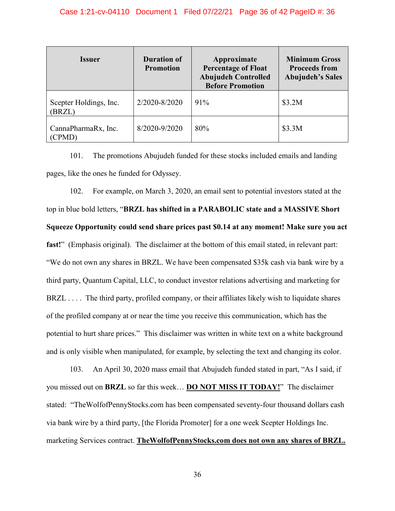| <i><u><b>Issuer</b></u></i>      | <b>Duration of</b><br><b>Promotion</b> | Approximate<br><b>Percentage of Float</b><br><b>Abujudeh Controlled</b><br><b>Before Promotion</b> | <b>Minimum Gross</b><br><b>Proceeds from</b><br><b>Abujudeh's Sales</b> |
|----------------------------------|----------------------------------------|----------------------------------------------------------------------------------------------------|-------------------------------------------------------------------------|
| Scepter Holdings, Inc.<br>(BRZL) | 2/2020-8/2020                          | 91%                                                                                                | \$3.2M                                                                  |
| CannaPharmaRx, Inc.<br>(CPMD)    | 8/2020-9/2020                          | 80%                                                                                                | \$3.3M                                                                  |

101. The promotions Abujudeh funded for these stocks included emails and landing pages, like the ones he funded for Odyssey.

102. For example, on March 3, 2020, an email sent to potential investors stated at the top in blue bold letters, "**BRZL has shifted in a PARABOLIC state and a MASSIVE Short Squeeze Opportunity could send share prices past \$0.14 at any moment! Make sure you act fast!**" (Emphasis original). The disclaimer at the bottom of this email stated, in relevant part: "We do not own any shares in BRZL. We have been compensated \$35k cash via bank wire by a third party, Quantum Capital, LLC, to conduct investor relations advertising and marketing for BRZL . . . . The third party, profiled company, or their affiliates likely wish to liquidate shares of the profiled company at or near the time you receive this communication, which has the potential to hurt share prices." This disclaimer was written in white text on a white background and is only visible when manipulated, for example, by selecting the text and changing its color.

103. An April 30, 2020 mass email that Abujudeh funded stated in part, "As I said, if you missed out on **BRZL** so far this week… **DO NOT MISS IT TODAY!**" The disclaimer stated: "TheWolfofPennyStocks.com has been compensated seventy-four thousand dollars cash via bank wire by a third party, [the Florida Promoter] for a one week Scepter Holdings Inc. marketing Services contract. **TheWolfofPennyStocks.com does not own any shares of BRZL.**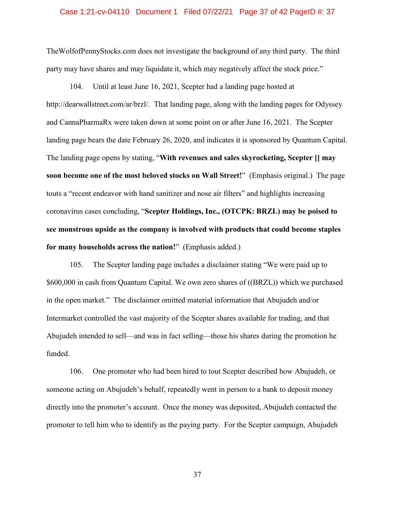#### Case 1:21-cv-04110 Document 1 Filed 07/22/21 Page 37 of 42 PageID #: 37

TheWolfofPennyStocks.com does not investigate the background of any third party. The third party may have shares and may liquidate it, which may negatively affect the stock price."

104. Until at least June 16, 2021, Scepter had a landing page hosted at http://dearwallstreet.com/ar/brzl/. That landing page, along with the landing pages for Odyssey and CannaPharmaRx were taken down at some point on or after June 16, 2021. The Scepter landing page bears the date February 26, 2020, and indicates it is sponsored by Quantum Capital. The landing page opens by stating, "**With revenues and sales skyrocketing, Scepter [] may soon become one of the most beloved stocks on Wall Street!**" (Emphasis original.) The page touts a "recent endeavor with hand sanitizer and nose air filters" and highlights increasing coronavirus cases concluding, "**Scepter Holdings, Inc., (OTCPK: BRZL) may be poised to see monstrous upside as the company is involved with products that could become staples for many households across the nation!**" (Emphasis added.)

105. The Scepter landing page includes a disclaimer stating "We were paid up to \$600,000 in cash from Quantum Capital. We own zero shares of ((BRZL)) which we purchased in the open market." The disclaimer omitted material information that Abujudeh and/or Intermarket controlled the vast majority of the Scepter shares available for trading, and that Abujudeh intended to sell—and was in fact selling—those his shares during the promotion he funded.

106. One promoter who had been hired to tout Scepter described how Abujudeh, or someone acting on Abujudeh's behalf, repeatedly went in person to a bank to deposit money directly into the promoter's account. Once the money was deposited, Abujudeh contacted the promoter to tell him who to identify as the paying party. For the Scepter campaign, Abujudeh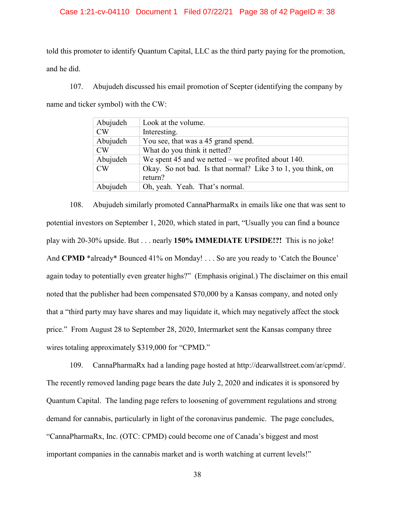### Case 1:21-cv-04110 Document 1 Filed 07/22/21 Page 38 of 42 PageID #: 38

told this promoter to identify Quantum Capital, LLC as the third party paying for the promotion, and he did.

107. Abujudeh discussed his email promotion of Scepter (identifying the company by name and ticker symbol) with the CW:

| Abujudeh | Look at the volume.                                                     |
|----------|-------------------------------------------------------------------------|
| CW       | Interesting.                                                            |
| Abujudeh | You see, that was a 45 grand spend.                                     |
| CW       | What do you think it netted?                                            |
| Abujudeh | We spent 45 and we netted – we profited about 140.                      |
| CW       | Okay. So not bad. Is that normal? Like 3 to 1, you think, on<br>return? |
| Abujudeh | Oh, yeah. Yeah. That's normal.                                          |

108. Abujudeh similarly promoted CannaPharmaRx in emails like one that was sent to potential investors on September 1, 2020, which stated in part, "Usually you can find a bounce play with 20-30% upside. But . . . nearly **150% IMMEDIATE UPSIDE!?!** This is no joke! And **CPMD** \*already\* Bounced 41% on Monday! . . . So are you ready to 'Catch the Bounce' again today to potentially even greater highs?" (Emphasis original.) The disclaimer on this email noted that the publisher had been compensated \$70,000 by a Kansas company, and noted only that a "third party may have shares and may liquidate it, which may negatively affect the stock price." From August 28 to September 28, 2020, Intermarket sent the Kansas company three wires totaling approximately \$319,000 for "CPMD."

109. CannaPharmaRx had a landing page hosted at http://dearwallstreet.com/ar/cpmd/. The recently removed landing page bears the date July 2, 2020 and indicates it is sponsored by Quantum Capital. The landing page refers to loosening of government regulations and strong demand for cannabis, particularly in light of the coronavirus pandemic. The page concludes, "CannaPharmaRx, Inc. (OTC: CPMD) could become one of Canada's biggest and most important companies in the cannabis market and is worth watching at current levels!"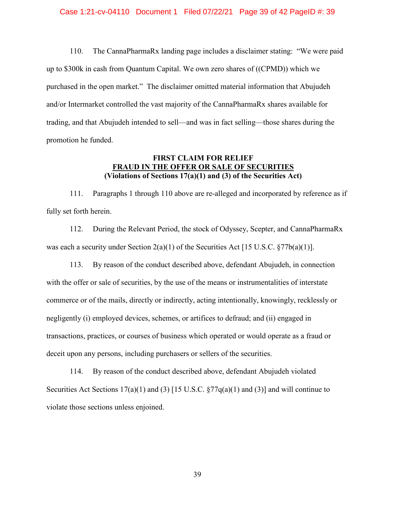#### Case 1:21-cv-04110 Document 1 Filed 07/22/21 Page 39 of 42 PageID #: 39

<span id="page-38-0"></span>110. The CannaPharmaRx landing page includes a disclaimer stating: "We were paid up to \$300k in cash from Quantum Capital. We own zero shares of ((CPMD)) which we purchased in the open market." The disclaimer omitted material information that Abujudeh and/or Intermarket controlled the vast majority of the CannaPharmaRx shares available for trading, and that Abujudeh intended to sell—and was in fact selling—those shares during the promotion he funded.

## **FIRST CLAIM FOR RELIEF FRAUD IN THE OFFER OR SALE OF SECURITIES (Violations of Sections 17(a)(1) and (3) of the Securities Act)**

111. Paragraphs 1 through [110](#page-38-0) above are re-alleged and incorporated by reference as if fully set forth herein.

112. During the Relevant Period, the stock of Odyssey, Scepter, and CannaPharmaRx was each a security under Section  $2(a)(1)$  of the Securities Act [15 U.S.C. §77b(a)(1)].

113. By reason of the conduct described above, defendant Abujudeh, in connection with the offer or sale of securities, by the use of the means or instrumentalities of interstate commerce or of the mails, directly or indirectly, acting intentionally, knowingly, recklessly or negligently (i) employed devices, schemes, or artifices to defraud; and (ii) engaged in transactions, practices, or courses of business which operated or would operate as a fraud or deceit upon any persons, including purchasers or sellers of the securities.

114. By reason of the conduct described above, defendant Abujudeh violated Securities Act Sections  $17(a)(1)$  and (3) [15 U.S.C.  $\frac{577}{q(a)(1)}$  and (3)] and will continue to violate those sections unless enjoined.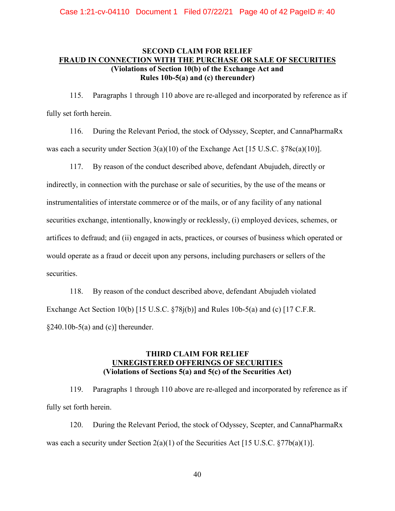# **SECOND CLAIM FOR RELIEF FRAUD IN CONNECTION WITH THE PURCHASE OR SALE OF SECURITIES (Violations of Section 10(b) of the Exchange Act and Rules 10b-5(a) and (c) thereunder)**

115. Paragraphs 1 through [110](#page-38-0) above are re-alleged and incorporated by reference as if fully set forth herein.

116. During the Relevant Period, the stock of Odyssey, Scepter, and CannaPharmaRx was each a security under Section 3(a)(10) of the Exchange Act [15 U.S.C. §78c(a)(10)].

117. By reason of the conduct described above, defendant Abujudeh, directly or indirectly, in connection with the purchase or sale of securities, by the use of the means or instrumentalities of interstate commerce or of the mails, or of any facility of any national securities exchange, intentionally, knowingly or recklessly, (i) employed devices, schemes, or artifices to defraud; and (ii) engaged in acts, practices, or courses of business which operated or would operate as a fraud or deceit upon any persons, including purchasers or sellers of the securities.

118. By reason of the conduct described above, defendant Abujudeh violated Exchange Act Section 10(b) [15 U.S.C.  $\S78j(b)$ ] and Rules 10b-5(a) and (c) [17 C.F.R.  $§240.10b-5(a)$  and (c)] thereunder.

## **THIRD CLAIM FOR RELIEF UNREGISTERED OFFERINGS OF SECURITIES (Violations of Sections 5(a) and 5(c) of the Securities Act)**

119. Paragraphs 1 through [110](#page-38-0) above are re-alleged and incorporated by reference as if fully set forth herein.

120. During the Relevant Period, the stock of Odyssey, Scepter, and CannaPharmaRx was each a security under Section  $2(a)(1)$  of the Securities Act [15 U.S.C. §77b(a)(1)].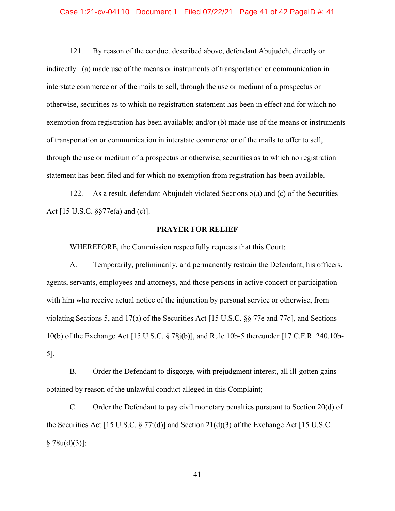#### Case 1:21-cv-04110 Document 1 Filed 07/22/21 Page 41 of 42 PageID #: 41

121. By reason of the conduct described above, defendant Abujudeh, directly or indirectly: (a) made use of the means or instruments of transportation or communication in interstate commerce or of the mails to sell, through the use or medium of a prospectus or otherwise, securities as to which no registration statement has been in effect and for which no exemption from registration has been available; and/or (b) made use of the means or instruments of transportation or communication in interstate commerce or of the mails to offer to sell, through the use or medium of a prospectus or otherwise, securities as to which no registration statement has been filed and for which no exemption from registration has been available.

122. As a result, defendant Abujudeh violated Sections 5(a) and (c) of the Securities Act [15 U.S.C. §§77e(a) and (c)].

### **PRAYER FOR RELIEF**

WHEREFORE, the Commission respectfully requests that this Court:

A. Temporarily, preliminarily, and permanently restrain the Defendant, his officers, agents, servants, employees and attorneys, and those persons in active concert or participation with him who receive actual notice of the injunction by personal service or otherwise, from violating Sections 5, and 17(a) of the Securities Act [15 U.S.C. §§ 77e and 77q], and Sections 10(b) of the Exchange Act [15 U.S.C. § 78j(b)], and Rule 10b-5 thereunder [17 C.F.R. 240.10b-5].

B. Order the Defendant to disgorge, with prejudgment interest, all ill-gotten gains obtained by reason of the unlawful conduct alleged in this Complaint;

C. Order the Defendant to pay civil monetary penalties pursuant to Section 20(d) of the Securities Act [15 U.S.C. § 77t(d)] and Section 21(d)(3) of the Exchange Act [15 U.S.C.  $§ 78u(d)(3)$ ;